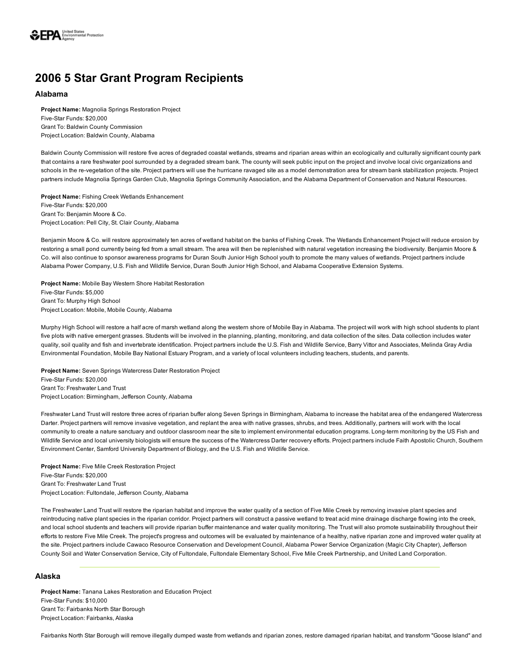

# 2006 5 Star Grant Program Recipients

#### Alabama

Project Name: Magnolia Springs Restoration Project Five-Star Funds: \$20,000 Grant To: Baldwin County Commission Project Location: Baldwin County, Alabama

Baldwin County Commission will restore five acres of degraded coastal wetlands, streams and riparian areas within an ecologically and culturally significant county park that contains a rare freshwater pool surrounded by a degraded stream bank. The county will seek public input on the project and involve local civic organizations and schools in the re-vegetation of the site. Project partners will use the hurricane ravaged site as a model demonstration area for stream bank stabilization projects. Project partners include Magnolia Springs Garden Club, Magnolia Springs Community Association, and the Alabama Department of Conservation and Natural Resources.

Project Name: Fishing Creek Wetlands Enhancement Five-Star Funds: \$20,000 Grant To: Benjamin Moore & Co. Project Location: Pell City, St. Clair County, Alabama

Benjamin Moore & Co. will restore approximately ten acres of wetland habitat on the banks of Fishing Creek. The Wetlands Enhancement Project will reduce erosion by restoring a small pond currently being fed from a small stream. The area will then be replenished with natural vegetation increasing the biodiversity. Benjamin Moore & Co. will also continue to sponsor awareness programs for Duran South Junior High School youth to promote the many values of wetlands. Project partners include Alabama Power Company, U.S. Fish and Wildlife Service, Duran South Junior High School, and Alabama Cooperative Extension Systems.

Project Name: Mobile Bay Western Shore Habitat Restoration Five-Star Funds: \$5,000 Grant To: Murphy High School Project Location: Mobile, Mobile County, Alabama

Murphy High School will restore a half acre of marsh wetland along the western shore of Mobile Bay in Alabama. The project will work with high school students to plant five plots with native emergent grasses. Students will be involved in the planning, planting, monitoring, and data collection of the sites. Data collection includes water quality, soil quality and fish and invertebrate identification. Project partners include the U.S. Fish and Wildlife Service, Barry Vittor and Associates, Melinda Gray Ardia Environmental Foundation, Mobile Bay National Estuary Program, and a variety of local volunteers including teachers, students, and parents.

Project Name: Seven Springs Watercress Dater Restoration Project Five-Star Funds: \$20,000 Grant To: Freshwater Land Trust Project Location: Birmingham, Jefferson County, Alabama

Freshwater Land Trust will restore three acres of riparian buffer along Seven Springs in Birmingham, Alabama to increase the habitat area of the endangered Watercress Darter. Project partners will remove invasive vegetation, and replant the area with native grasses, shrubs, and trees. Additionally, partners will work with the local community to create a nature sanctuary and outdoor classroom near the site to implement environmental education programs. Long-term monitoring by the US Fish and Wildlife Service and local university biologists will ensure the success of the Watercress Darter recovery efforts. Project partners include Faith Apostolic Church, Southern Environment Center, Samford University Department of Biology, and the U.S. Fish and Wildlife Service.

Project Name: Five Mile Creek Restoration Project Five-Star Funds: \$20,000 Grant To: Freshwater Land Trust Project Location: Fultondale, Jefferson County, Alabama

The Freshwater Land Trust will restore the riparian habitat and improve the water quality of a section of Five Mile Creek by removing invasive plant species and reintroducing native plant species in the riparian corridor. Project partners will construct a passive wetland to treat acid mine drainage discharge flowing into the creek, and local school students and teachers will provide riparian buffer maintenance and water quality monitoring. The Trust will also promote sustainability throughout their efforts to restore Five Mile Creek. The project's progress and outcomes will be evaluated by maintenance of a healthy, native riparian zone and improved water quality at the site. Project partners include Cawaco Resource Conservation and Development Council, Alabama Power Service Organization (Magic City Chapter), Jefferson County Soil and Water Conservation Service, City of Fultondale, Fultondale Elementary School, Five Mile Creek Partnership, and United Land Corporation.

## Alaska

Project Name: Tanana Lakes Restoration and Education Project Five-Star Funds: \$10,000 Grant To: Fairbanks North Star Borough Project Location: Fairbanks, Alaska

Fairbanks North Star Borough will remove illegally dumped waste from wetlands and riparian zones, restore damaged riparian habitat, and transform "Goose Island" and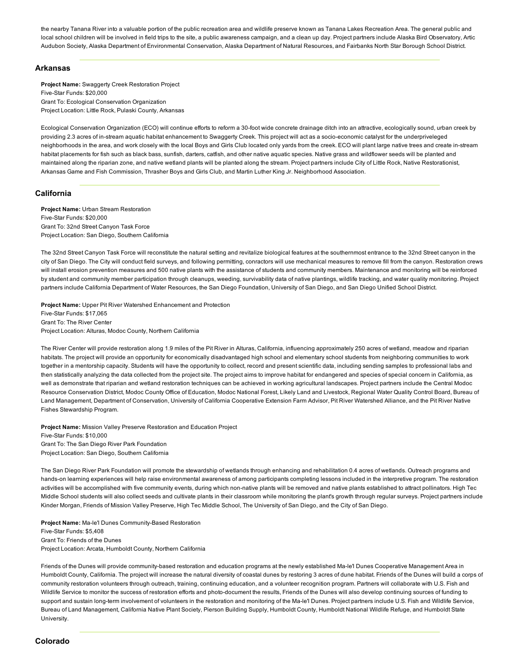the nearby Tanana River into a valuable portion of the public recreation area and wildlife preserve known as Tanana Lakes Recreation Area. The general public and local school children will be involved in field trips to the site, a public awareness campaign, and a clean up day. Project partners include Alaska Bird Observatory, Artic Audubon Society, Alaska Department of Environmental Conservation, Alaska Department of Natural Resources, and Fairbanks North Star Borough School District.

## Arkansas

Project Name: Swaggerty Creek Restoration Project Five-Star Funds: \$20,000 Grant To: Ecological Conservation Organization Project Location: Little Rock, Pulaski County, Arkansas

Ecological Conservation Organization (ECO) will continue efforts to reform a 30foot wide concrete drainage ditch into an attractive, ecologically sound, urban creek by providing 2.3 acres of in-stream aquatic habitat enhancement to Swaggerty Creek. This project will act as a socio-economic catalyst for the underpriveleged neighborhoods in the area, and work closely with the local Boys and Girls Club located only yards from the creek. ECO will plant large native trees and create in-stream habitat placements for fish such as black bass, sunfish, darters, catfish, and other native aquatic species. Native grass and wildflower seeds will be planted and maintained along the riparian zone, and native wetland plants will be planted along the stream. Project partners include City of Little Rock, Native Restorationist, Arkansas Game and Fish Commission, Thrasher Boys and Girls Club, and Martin Luther King Jr. Neighborhood Association.

## California

Project Name: Urban Stream Restoration Five-Star Funds: \$20,000 Grant To: 32nd Street Canyon Task Force Project Location: San Diego, Southern California

The 32nd Street Canyon Task Force will reconstitute the natural setting and revitalize biological features at the southernmost entrance to the 32nd Street canyon in the city of San Diego. The City will conduct field surveys, and following permitting, conractors will use mechanical measures to remove fill from the canyon. Restoration crews will install erosion prevention measures and 500 native plants with the assistance of students and community members. Maintenance and monitoring will be reinforced by student and community member participation through cleanups, weeding, survivability data of native plantings, wildlife tracking, and water quality monitoring. Project partners include California Department of Water Resources, the San Diego Foundation, University of San Diego, and San Diego Unified School District.

Project Name: Upper Pit River Watershed Enhancement and Protection Five-Star Funds: \$17,065 Grant To: The River Center Project Location: Alturas, Modoc County, Northern California

The River Center will provide restoration along 1.9 miles of the Pit River in Alturas, California, influencing approximately 250 acres of wetland, meadow and riparian habitats. The project will provide an opportunity for economically disadvantaged high school and elementary school students from neighboring communities to work together in a mentorship capacity. Students will have the opportunity to collect, record and present scientific data, including sending samples to professional labs and then statistically analyzing the data collected from the project site. The project aims to improve habitat for endangered and species of special concern in California, as well as demonstrate that riparian and wetland restoration techniques can be achieved in working agricultural landscapes. Project partners include the Central Modoc Resource Conservation District, Modoc County Office of Education, Modoc National Forest, Likely Land and Livestock, Regional Water Quality Control Board, Bureau of Land Management, Department of Conservation, University of California Cooperative Extension Farm Advisor, Pit River Watershed Alliance, and the Pit River Native Fishes Stewardship Program.

Project Name: Mission Valley Preserve Restoration and Education Project Five-Star Funds: \$10,000 Grant To: The San Diego River Park Foundation Project Location: San Diego, Southern California

The San Diego River Park Foundation will promote the stewardship of wetlands through enhancing and rehabilitation 0.4 acres of wetlands. Outreach programs and hands-on learning experiences will help raise environmental awareness of among participants completing lessons included in the interpretive program. The restoration activities will be accomplished with five community events, during which non-native plants will be removed and native plants established to attract pollinators. High Tec Middle School students will also collect seeds and cultivate plants in their classroom while monitoring the plant's growth through regular surveys. Project partners include Kinder Morgan, Friends of Mission Valley Preserve, High Tec Middle School, The University of San Diego, and the City of San Diego.

Project Name: Ma-le'l Dunes Community-Based Restoration Five-Star Funds: \$5,408 Grant To: Friends of the Dunes Project Location: Arcata, Humboldt County, Northern California

Friends of the Dunes will provide community-based restoration and education programs at the newly established Ma-le'l Dunes Cooperative Management Area in Humboldt County, California. The project will increase the natural diversity of coastal dunes by restoring 3 acres of dune habitat. Friends of the Dunes will build a corps of community restoration volunteers through outreach, training, continuing education, and a volunteer recognition program. Partners will collaborate with U.S. Fish and Wildlife Service to monitor the success of restoration efforts and photo-document the results, Friends of the Dunes will also develop continuing sources of funding to support and sustain long-term involvement of volunteers in the restoration and monitoring of the Ma-le'l Dunes. Project partners include U.S. Fish and Wildlife Service, Bureau of Land Management, California Native Plant Society, Pierson Building Supply, Humboldt County, Humboldt National Wildlife Refuge, and Humboldt State University.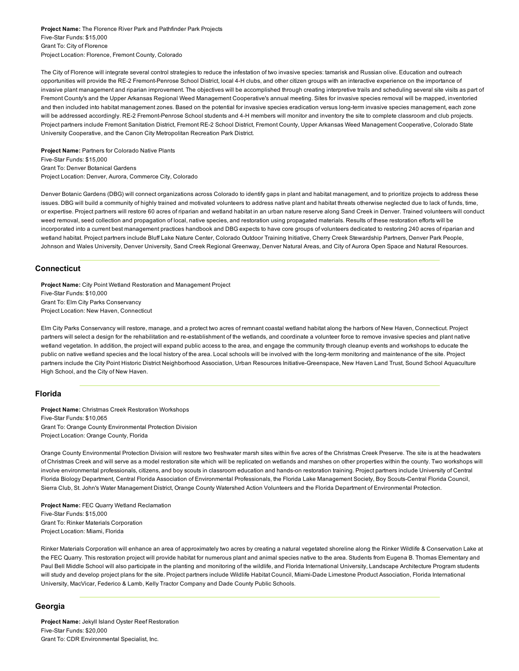Project Name: The Florence River Park and Pathfinder Park Projects Five-Star Funds: \$15,000 Grant To: City of Florence Project Location: Florence, Fremont County, Colorado

The City of Florence will integrate several control strategies to reduce the infestation of two invasive species: tamarisk and Russian olive. Education and outreach opportunities will provide the RE-2 Fremont-Penrose School District, local 4-H clubs, and other citizen groups with an interactive experience on the importance of invasive plant management and riparian improvement. The objectives will be accomplished through creating interpretive trails and scheduling several site visits as part of Fremont County's and the Upper Arkansas Regional Weed Management Cooperative's annual meeting. Sites for invasive species removal will be mapped, inventoried and then included into habitat management zones. Based on the potential for invasive species eradication versus long-term invasive species management, each zone will be addressed accordingly. RE-2 Fremont-Penrose School students and 4-H members will monitor and inventory the site to complete classroom and club projects. Project partners include Fremont Sanitation District, Fremont RE-2 School District, Fremont County, Upper Arkansas Weed Management Cooperative, Colorado State University Cooperative, and the Canon City Metropolitan Recreation Park District.

Project Name: Partners for Colorado Native Plants Five-Star Funds: \$15,000 Grant To: Denver Botanical Gardens Project Location: Denver, Aurora, Commerce City, Colorado

Denver Botanic Gardens (DBG) will connect organizations across Colorado to identify gaps in plant and habitat management, and to prioritize projects to address these issues. DBG will build a community of highly trained and motivated volunteers to address native plant and habitat threats otherwise neglected due to lack of funds, time, or expertise. Project partners will restore 60 acres of riparian and wetland habitat in an urban nature reserve along Sand Creek in Denver. Trained volunteers will conduct weed removal, seed collection and propagation of local, native species, and restoration using propagated materials. Results of these restoration efforts will be incorporated into a current best management practices handbook and DBG expects to have core groups of volunteers dedicated to restoring 240 acres of riparian and wetland habitat. Project partners include Bluff Lake Nature Center, Colorado Outdoor Training Initiative, Cherry Creek Stewardship Partners, Denver Park People, Johnson and Wales University, Denver University, Sand Creek Regional Greenway, Denver Natural Areas, and City of Aurora Open Space and Natural Resources.

## **Connecticut**

Project Name: City Point Wetland Restoration and Management Project Five-Star Funds: \$10,000 Grant To: Elm City Parks Conservancy Project Location: New Haven, Connecticut

Elm City Parks Conservancy will restore, manage, and a protect two acres of remnant coastal wetland habitat along the harbors of New Haven, Connecticut. Project partners will select a design for the rehabilitation and re-establishment of the wetlands, and coordinate a volunteer force to remove invasive species and plant native wetland vegetation. In addition, the project will expand public access to the area, and engage the community through cleanup events and workshops to educate the public on native wetland species and the local history of the area. Local schools will be involved with the long-term monitoring and maintenance of the site. Project partners include the City Point Historic District Neighborhood Association, Urban Resources Initiative-Greenspace, New Haven Land Trust, Sound School Aquaculture High School, and the City of New Haven.

## Florida

Project Name: Christmas Creek Restoration Workshops Five-Star Funds: \$10,065 Grant To: Orange County Environmental Protection Division Project Location: Orange County, Florida

Orange County Environmental Protection Division will restore two freshwater marsh sites within five acres of the Christmas Creek Preserve. The site is at the headwaters of Christmas Creek and will serve as a model restoration site which will be replicated on wetlands and marshes on other properties within the county. Two workshops will involve environmental professionals, citizens, and boy scouts in classroom education and hands-on restoration training. Project partners include University of Central Florida Biology Department, Central Florida Association of Environmental Professionals, the Florida Lake Management Society, Boy Scouts-Central Florida Council, Sierra Club, St. John's Water Management District, Orange County Watershed Action Volunteers and the Florida Department of Environmental Protection.

Project Name: FEC Quarry Wetland Reclamation Five-Star Funds: \$15,000 Grant To: Rinker Materials Corporation Project Location: Miami, Florida

Rinker Materials Corporation will enhance an area of approximately two acres by creating a natural vegetated shoreline along the Rinker Wildlife & Conservation Lake at the FEC Quarry. This restoration project will provide habitat for numerous plant and animal species native to the area. Students from Eugena B. Thomas Elementary and Paul Bell Middle School will also participate in the planting and monitoring of the wildlife, and Florida International University, Landscape Architecture Program students will study and develop project plans for the site. Project partners include Wildlife Habitat Council, Miami-Dade Limestone Product Association, Florida International University, MacVicar, Federico & Lamb, Kelly Tractor Company and Dade County Public Schools.

## Georgia

Project Name: Jekyll Island Oyster Reef Restoration Five-Star Funds: \$20,000 Grant To: CDR Environmental Specialist, Inc.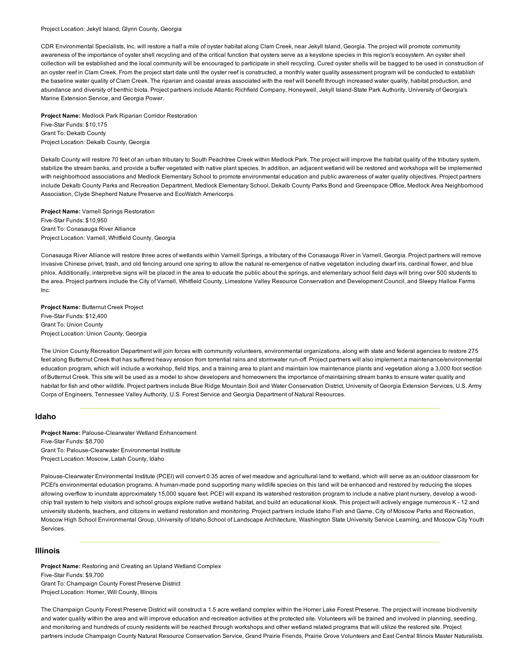#### Project Location: Jekyll Island, Glynn County, Georgia

CDR Environmental Specialists, Inc. will restore a half a mile of oyster habitat along Clam Creek, near Jekyll Island, Georgia. The project will promote community awareness of the importance of oyster shell recycling and of the critical function that oysters serve as a keystone species in this region's ecosystem. An oyster shell collection will be established and the local community will be encouraged to participate in shell recycling. Cured oyster shells will be bagged to be used in construction of an oyster reef in Clam Creek. From the project start date until the oyster reef is constructed, a monthly water quality assessment program will be conducted to establish the baseline water quality of Clam Creek. The riparian and coastal areas associated with the reef will benefit through increased water quality, habitat production, and abundance and diversity of benthic biota. Project partners include Atlantic Richfield Company, Honeywell, Jekyll Island-State Park Authority, University of Georgia's Marine Extension Service, and Georgia Power.

Project Name: Medlock Park Riparian Corridor Restoration Five-Star Funds: \$10,175 Grant To: Dekalb County Project Location: Dekalb County, Georgia

Dekalb County will restore 70 feet of an urban tributary to South Peachtree Creek within Medlock Park. The project will improve the habitat quality of the tributary system, stabilize the stream banks, and provide a buffer vegetated with native plant species. In addition, an adjacent wetland will be restored and workshops will be implemented with neighborhood associations and Medlock Elementary School to promote environmental education and public awareness of water quality objectives. Project partners include Dekalb County Parks and Recreation Department, Medlock Elementary School, Dekalb County Parks Bond and Greenspace Office, Medlock Area Neighborhood Association, Clyde Shepherd Nature Preserve and EcoWatch Americorps.

Project Name: Varnell Springs Restoration Five-Star Funds: \$10,950 Grant To: Conasauga River Alliance Project Location: Varnell, Whitfield County, Georgia

Conasauga River Alliance will restore three acres of wetlands within Varnell Springs, a tributary of the Conasauga River in Varnell, Georgia. Project partners will remove invasive Chinese privet, trash, and old fencing around one spring to allow the natural re-emergence of native vegetation including dwarf iris, cardinal flower, and blue phlox. Additionally, interpretive signs will be placed in the area to educate the public about the springs, and elementary school field days will bring over 500 students to the area. Project partners include the City of Varnell, Whitfield County, Limestone Valley Resource Conservation and Development Council, and Sleepy Hallow Farms Inc.

Project Name: Butternut Creek Project Five-Star Funds: \$12,400 Grant To: Union County Project Location: Union County, Georgia

The Union County Recreation Department will join forces with community volunteers, environmental organizations, along with state and federal agencies to restore 275 feet along Butternut Creek that has suffered heavy erosion from torrential rains and stormwater run-off. Project partners will also implement a maintenance/environmental education program, which will include a workshop, field trips, and a training area to plant and maintain low maintenance plants and vegetation along a 3,000 foot section of Butternut Creek. This site will be used as a model to show developers and homeowners the importance of maintaining stream banks to ensure water quality and habitat for fish and other wildlife. Project partners include Blue Ridge Mountain Soil and Water Conservation District, University of Georgia Extension Services, U.S. Army Corps of Engineers, Tennessee Valley Authority, U.S. Forest Service and Georgia Department of Natural Resources.

## Idaho

Project Name: Palouse-Clearwater Wetland Enhancement Five-Star Funds: \$8,700 Grant To: Palouse-Clearwater Environmental Institute Project Location: Moscow, Latah County, Idaho

Palouse-Clearwater Environmental Institute (PCEI) will convert 0.35 acres of wet meadow and agricultural land to wetland, which will serve as an outdoor classroom for PCEI's environmental education programs. A human-made pond supporting many wildlife species on this land will be enhanced and restored by reducing the slopes allowing overflow to inundate approximately 15,000 square feet. PCEI will expand its watershed restoration program to include a native plant nursery, develop a woodchip trail system to help visitors and school groups explore native wetland habitat, and build an educational kiosk. This project will actively engage numerous K - 12 and university students, teachers, and citizens in wetland restoration and monitoring. Project partners include Idaho Fish and Game, City of Moscow Parks and Recreation, Moscow High School Environmental Group, University of Idaho School of Landscape Architecture, Washington State University Service Learning, and Moscow City Youth Services.

#### Illinois

Project Name: Restoring and Creating an Upland Wetland Complex Five-Star Funds: \$9,700 Grant To: Champaign County Forest Preserve District Project Location: Homer, Will County, Illinois

The Champaign County Forest Preserve District will construct a 1.5 acre wetland complex within the Homer Lake Forest Preserve. The project will increase biodiversity and water quality within the area and will improve education and recreation activities at the protected site. Volunteers will be trained and involved in planning, seeding, and monitoring and hundreds of county residents will be reached through workshops and other wetland related programs that will utilize the restored site. Project partners include Champaign County Natural Resource Conservation Service, Grand Prairie Friends, Prairie Grove Volunteers and East Central Illinois Master Naturalists.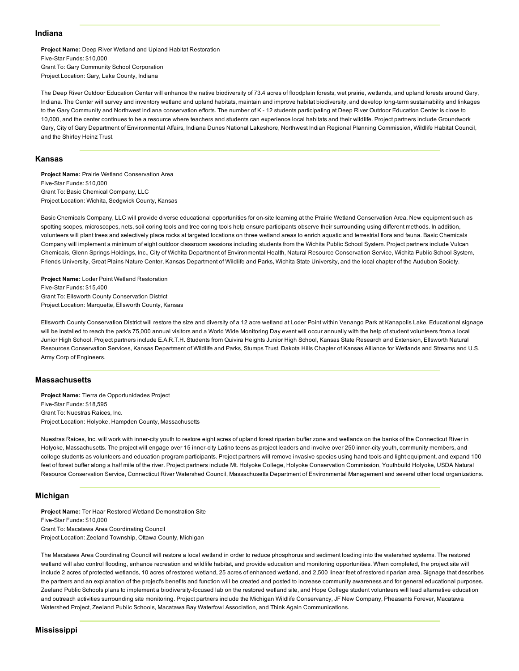## Indiana

Project Name: Deep River Wetland and Upland Habitat Restoration Five-Star Funds: \$10,000 Grant To: Gary Community School Corporation Project Location: Gary, Lake County, Indiana

The Deep River Outdoor Education Center will enhance the native biodiversity of 73.4 acres of floodplain forests, wet prairie, wetlands, and upland forests around Gary, Indiana. The Center will survey and inventory wetland and upland habitats, maintain and improve habitat biodiversity, and develop long-term sustainability and linkages to the Gary Community and Northwest Indiana conservation efforts. The number of K - 12 students participating at Deep River Outdoor Education Center is close to 10,000, and the center continues to be a resource where teachers and students can experience local habitats and their wildlife. Project partners include Groundwork Gary, City of Gary Department of Environmental Affairs, Indiana Dunes National Lakeshore, Northwest Indian Regional Planning Commission, Wildlife Habitat Council, and the Shirley Heinz Trust.

## Kansas

Project Name: Prairie Wetland Conservation Area Five-Star Funds: \$10,000 Grant To: Basic Chemical Company, LLC Project Location: Wichita, Sedgwick County, Kansas

Basic Chemicals Company, LLC will provide diverse educational opportunities for on-site learning at the Prairie Wetland Conservation Area. New equipment such as spotting scopes, microscopes, nets, soil coring tools and tree coring tools help ensure participants observe their surrounding using different methods. In addition, volunteers will plant trees and selectively place rocks at targeted locations on three wetland areas to enrich aquatic and terrestrial flora and fauna. Basic Chemicals Company will implement a minimum of eight outdoor classroom sessions including students from the Wichita Public School System. Project partners include Vulcan Chemicals, Glenn Springs Holdings, Inc., City of Wichita Department of Environmental Health, Natural Resource Conservation Service, Wichita Public School System, Friends University, Great Plains Nature Center, Kansas Department of Wildlife and Parks, Wichita State University, and the local chapter of the Audubon Society.

Project Name: Loder Point Wetland Restoration Five-Star Funds: \$15,400 Grant To: Ellsworth County Conservation District Project Location: Marquette, Ellsworth County, Kansas

Ellsworth County Conservation District will restore the size and diversity of a 12 acre wetland at Loder Point within Venango Park at Kanapolis Lake. Educational signage will be installed to reach the park's 75,000 annual visitors and a World Wide Monitoring Day event will occur annually with the help of student volunteers from a local Junior High School. Project partners include E.A.R.T.H. Students from Quivira Heights Junior High School, Kansas State Research and Extension, Ellsworth Natural Resources Conservation Services, Kansas Department of Wildlife and Parks, Stumps Trust, Dakota Hills Chapter of Kansas Alliance for Wetlands and Streams and U.S. Army Corp of Engineers.

#### Massachusetts

Project Name: Tierra de Opportunidades Project Five-Star Funds: \$18,595 Grant To: Nuestras Raíces, Inc. Project Location: Holyoke, Hampden County, Massachusetts

Nuestras Raices, Inc. will work with inner-city youth to restore eight acres of upland forest riparian buffer zone and wetlands on the banks of the Connecticut River in Holyoke, Massachusetts. The project will engage over 15 inner-city Latino teens as project leaders and involve over 250 inner-city youth, community members, and college students as volunteers and education program participants. Project partners will remove invasive species using hand tools and light equipment, and expand 100 feet of forest buffer along a half mile of the river. Project partners include Mt. Holyoke College, Holyoke Conservation Commission, Youthbuild Holyoke, USDA Natural Resource Conservation Service, Connecticut River Watershed Council, Massachusetts Department of Environmental Management and several other local organizations.

## Michigan

Project Name: Ter Haar Restored Wetland Demonstration Site Five-Star Funds: \$10,000 Grant To: Macatawa Area Coordinating Council Project Location: Zeeland Township, Ottawa County, Michigan

The Macatawa Area Coordinating Council will restore a local wetland in order to reduce phosphorus and sediment loading into the watershed systems. The restored wetland will also control flooding, enhance recreation and wildlife habitat, and provide education and monitoring opportunities. When completed, the project site will include 2 acres of protected wetlands, 10 acres of restored wetland, 25 acres of enhanced wetland, and 2,500 linear feet of restored riparian area. Signage that describes the partners and an explanation of the project's benefits and function will be created and posted to increase community awareness and for general educational purposes. Zeeland Public Schools plans to implement a biodiversity-focused lab on the restored wetland site, and Hope College student volunteers will lead alternative education and outreach activities surrounding site monitoring. Project partners include the Michigan Wildlife Conservancy, JF New Company, Pheasants Forever, Macatawa Watershed Project, Zeeland Public Schools, Macatawa Bay Waterfowl Association, and Think Again Communications.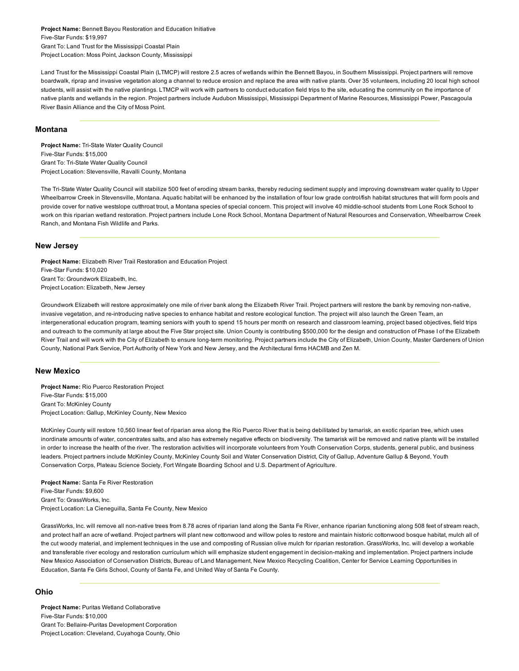Project Name: Bennett Bayou Restoration and Education Initiative Five-Star Funds: \$19,997 Grant To: Land Trust for the Mississippi Coastal Plain Project Location: Moss Point, Jackson County, Mississippi

Land Trust for the Mississippi Coastal Plain (LTMCP) will restore 2.5 acres of wetlands within the Bennett Bayou, in Southern Mississippi. Project partners will remove boardwalk, riprap and invasive vegetation along a channel to reduce erosion and replace the area with native plants. Over 35 volunteers, including 20 local high school students, will assist with the native plantings. LTMCP will work with partners to conduct education field trips to the site, educating the community on the importance of native plants and wetlands in the region. Project partners include Audubon Mississippi, Mississippi Department of Marine Resources, Mississippi Power, Pascagoula River Basin Alliance and the City of Moss Point.

## Montana

Project Name: Tri-State Water Quality Council Five-Star Funds: \$15,000 Grant To: Tri-State Water Quality Council Project Location: Stevensville, Ravalli County, Montana

The TriState Water Quality Council will stabilize 500 feet of eroding stream banks, thereby reducing sediment supply and improving downstream water quality to Upper Wheelbarrow Creek in Stevensville, Montana. Aquatic habitat will be enhanced by the installation of four low grade control/fish habitat structures that will form pools and provide cover for native westslope cutthroat trout, a Montana species of special concern. This project will involve 40 middle-school students from Lone Rock School to work on this riparian wetland restoration. Project partners include Lone Rock School, Montana Department of Natural Resources and Conservation, Wheelbarrow Creek Ranch, and Montana Fish Wildlife and Parks.

## New Jersey

Project Name: Elizabeth River Trail Restoration and Education Project Five-Star Funds: \$10,020 Grant To: Groundwork Elizabeth, Inc. Project Location: Elizabeth, New Jersey

Groundwork Elizabeth will restore approximately one mile of river bank along the Elizabeth River Trail. Project partners will restore the bank by removing nonnative, invasive vegetation, and re-introducing native species to enhance habitat and restore ecological function. The project will also launch the Green Team, an intergenerational education program, teaming seniors with youth to spend 15 hours per month on research and classroom learning, project based objectives, field trips and outreach to the community at large about the Five Star project site. Union County is contributing \$500,000 for the design and construction of Phase I of the Elizabeth River Trail and will work with the City of Elizabeth to ensure long-term monitoring. Project partners include the City of Elizabeth, Union County, Master Gardeners of Union County, National Park Service, Port Authority of New York and New Jersey, and the Architectural firms HACMB and Zen M.

#### New Mexico

Project Name: Rio Puerco Restoration Project Five-Star Funds: \$15,000 Grant To: McKinley County Project Location: Gallup, McKinley County, New Mexico

McKinley County will restore 10,560 linear feet of riparian area along the Rio Puerco River that is being debilitated by tamarisk, an exotic riparian tree, which uses inordinate amounts of water, concentrates salts, and also has extremely negative effects on biodiversity. The tamarisk will be removed and native plants will be installed in order to increase the health of the river. The restoration activities will incorporate volunteers from Youth Conservation Corps, students, general public, and business leaders. Project partners include McKinley County, McKinley County Soil and Water Conservation District, City of Gallup, Adventure Gallup & Beyond, Youth Conservation Corps, Plateau Science Society, Fort Wingate Boarding School and U.S. Department of Agriculture.

Project Name: Santa Fe River Restoration Five-Star Funds: \$9,600 Grant To: GrassWorks, Inc. Project Location: La Cieneguilla, Santa Fe County, New Mexico

GrassWorks, Inc. will remove all non-native trees from 8.78 acres of riparian land along the Santa Fe River, enhance riparian functioning along 508 feet of stream reach, and protect half an acre of wetland. Project partners will plant new cottonwood and willow poles to restore and maintain historic cottonwood bosque habitat, mulch all of the cut woody material, and implement techniques in the use and composting of Russian olive mulch for riparian restoration. GrassWorks, Inc. will develop a workable and transferable river ecology and restoration curriculum which will emphasize student engagement in decision-making and implementation. Project partners include New Mexico Association of Conservation Districts, Bureau of Land Management, New Mexico Recycling Coalition, Center for Service Learning Opportunities in Education, Santa Fe Girls School, County of Santa Fe, and United Way of Santa Fe County.

## Ohio

Project Name: Puritas Wetland Collaborative Five-Star Funds: \$10,000 Grant To: Bellaire-Puritas Development Corporation Project Location: Cleveland, Cuyahoga County, Ohio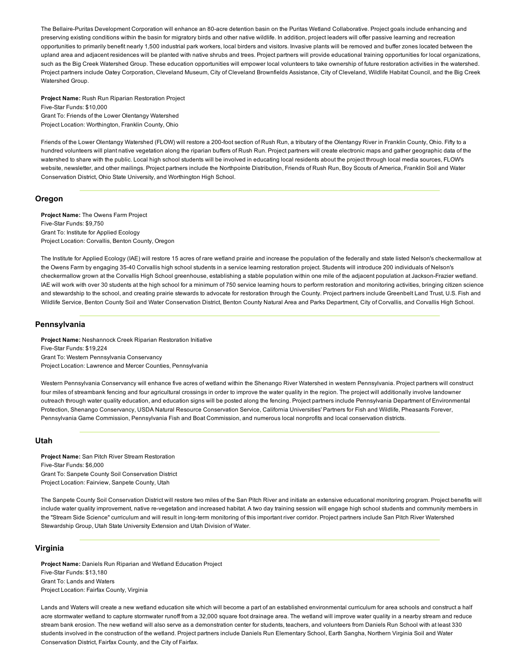The Bellaire-Puritas Development Corporation will enhance an 80-acre detention basin on the Puritas Wetland Collaborative. Project goals include enhancing and preserving existing conditions within the basin for migratory birds and other native wildlife. In addition, project leaders will offer passive learning and recreation opportunities to primarily benefit nearly 1,500 industrial park workers, local birders and visitors. Invasive plants will be removed and buffer zones located between the upland area and adjacent residences will be planted with native shrubs and trees. Project partners will provide educational training opportunities for local organizations, such as the Big Creek Watershed Group. These education opportunities will empower local volunteers to take ownership of future restoration activities in the watershed. Project partners include Oatey Corporation, Cleveland Museum, City of Cleveland Brownfields Assistance, City of Cleveland, Wildlife Habitat Council, and the Big Creek Watershed Group.

Project Name: Rush Run Riparian Restoration Project Five-Star Funds: \$10,000 Grant To: Friends of the Lower Olentangy Watershed Project Location: Worthington, Franklin County, Ohio

Friends of the Lower Olentangy Watershed (FLOW) will restore a 200-foot section of Rush Run, a tributary of the Olentangy River in Franklin County, Ohio. Fifty to a hundred volunteers will plant native vegetation along the riparian buffers of Rush Run. Project partners will create electronic maps and gather geographic data of the watershed to share with the public. Local high school students will be involved in educating local residents about the project through local media sources, FLOW's website, newsletter, and other mailings. Project partners include the Northpointe Distribution, Friends of Rush Run, Boy Scouts of America, Franklin Soil and Water Conservation District, Ohio State University, and Worthington High School.

## **Oregon**

Project Name: The Owens Farm Project Five-Star Funds: \$9,750 Grant To: Institute for Applied Ecology Project Location: Corvallis, Benton County, Oregon

The Institute for Applied Ecology (IAE) will restore 15 acres of rare wetland prairie and increase the population of the federally and state listed Nelson's checkermallow at the Owens Farm by engaging 3540 Corvallis high school students in a service learning restoration project. Students will introduce 200 individuals of Nelson's checkermallow grown at the Corvallis High School greenhouse, establishing a stable population within one mile of the adjacent population at JacksonFrazier wetland. IAE will work with over 30 students at the high school for a minimum of 750 service learning hours to perform restoration and monitoring activities, bringing citizen science and stewardship to the school, and creating prairie stewards to advocate for restoration through the County. Project partners include Greenbelt Land Trust, U.S. Fish and Wildlife Service, Benton County Soil and Water Conservation District, Benton County Natural Area and Parks Department, City of Corvallis, and Corvallis High School.

## Pennsylvania

Project Name: Neshannock Creek Riparian Restoration Initiative Five-Star Funds: \$19,224 Grant To: Western Pennsylvania Conservancy Project Location: Lawrence and Mercer Counties, Pennsylvania

Western Pennsylvania Conservancy will enhance five acres of wetland within the Shenango River Watershed in western Pennsylvania. Project partners will construct four miles of streambank fencing and four agricultural crossings in order to improve the water quality in the region. The project will additionally involve landowner outreach through water quality education, and education signs will be posted along the fencing. Project partners include Pennsylvania Department of Environmental Protection, Shenango Conservancy, USDA Natural Resource Conservation Service, California Universities' Partners for Fish and Wildlife, Pheasants Forever, Pennsylvania Game Commission, Pennsylvania Fish and Boat Commission, and numerous local nonprofits and local conservation districts.

## Utah

Project Name: San Pitch River Stream Restoration Five-Star Funds: \$6,000 Grant To: Sanpete County Soil Conservation District Project Location: Fairview, Sanpete County, Utah

The Sanpete County Soil Conservation District will restore two miles of the San Pitch River and initiate an extensive educational monitoring program. Project benefits will include water quality improvement, native re-vegetation and increased habitat. A two day training session will engage high school students and community members in the "Stream Side Science" curriculum and will result in long-term monitoring of this important river corridor. Project partners include San Pitch River Watershed Stewardship Group, Utah State University Extension and Utah Division of Water.

#### Virginia

Project Name: Daniels Run Riparian and Wetland Education Project Five-Star Funds: \$13,180 Grant To: Lands and Waters Project Location: Fairfax County, Virginia

Lands and Waters will create a new wetland education site which will become a part of an established environmental curriculum for area schools and construct a half acre stormwater wetland to capture stormwater runoff from a 32,000 square foot drainage area. The wetland will improve water quality in a nearby stream and reduce stream bank erosion. The new wetland will also serve as a demonstration center for students, teachers, and volunteers from Daniels Run School with at least 330 students involved in the construction of the wetland. Project partners include Daniels Run Elementary School, Earth Sangha, Northern Virginia Soil and Water Conservation District, Fairfax County, and the City of Fairfax.